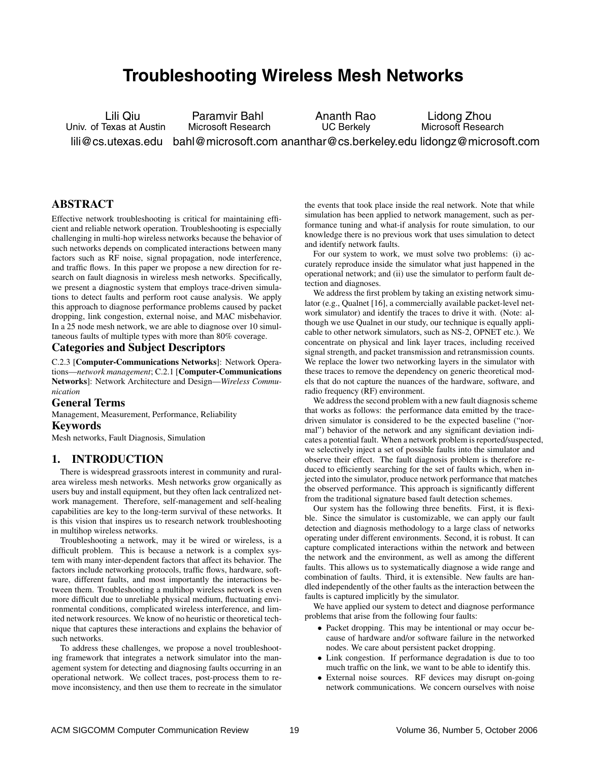# **Troubleshooting Wireless Mesh Networks**

Lili Qiu Paramvir Bahl Ananth Rao Lidong Zhou Univ. of Texas at Austin lili@cs.utexas.edu bahl@microsoft.com ananthar@cs.berkeley.edu lidongz@microsoft.com

# **ABSTRACT**

Effective network troubleshooting is critical for maintaining efficient and reliable network operation. Troubleshooting is especially challenging in multi-hop wireless networks because the behavior of such networks depends on complicated interactions between many factors such as RF noise, signal propagation, node interference, and traffic flows. In this paper we propose a new direction for research on fault diagnosis in wireless mesh networks. Specifically, we present a diagnostic system that employs trace-driven simulations to detect faults and perform root cause analysis. We apply this approach to diagnose performance problems caused by packet dropping, link congestion, external noise, and MAC misbehavior. In a 25 node mesh network, we are able to diagnose over 10 simultaneous faults of multiple types with more than 80% coverage.

#### **Categories and Subject Descriptors**

C.2.3 [**Computer-Communications Networks**]: Network Operations—*network management*; C.2.1 [**Computer-Communications Networks**]: Network Architecture and Design—*Wireless Communication*

#### **General Terms**

Management, Measurement, Performance, Reliability

#### **Keywords**

Mesh networks, Fault Diagnosis, Simulation

# **1. INTRODUCTION**

There is widespread grassroots interest in community and ruralarea wireless mesh networks. Mesh networks grow organically as users buy and install equipment, but they often lack centralized network management. Therefore, self-management and self-healing capabilities are key to the long-term survival of these networks. It is this vision that inspires us to research network troubleshooting in multihop wireless networks.

Troubleshooting a network, may it be wired or wireless, is a difficult problem. This is because a network is a complex system with many inter-dependent factors that affect its behavior. The factors include networking protocols, traffic flows, hardware, software, different faults, and most importantly the interactions between them. Troubleshooting a multihop wireless network is even more difficult due to unreliable physical medium, fluctuating environmental conditions, complicated wireless interference, and limited network resources. We know of no heuristic or theoretical technique that captures these interactions and explains the behavior of such networks.

To address these challenges, we propose a novel troubleshooting framework that integrates a network simulator into the management system for detecting and diagnosing faults occurring in an operational network. We collect traces, post-process them to remove inconsistency, and then use them to recreate in the simulator the events that took place inside the real network. Note that while simulation has been applied to network management, such as performance tuning and what-if analysis for route simulation, to our knowledge there is no previous work that uses simulation to detect and identify network faults.

For our system to work, we must solve two problems: (i) accurately reproduce inside the simulator what just happened in the operational network; and (ii) use the simulator to perform fault detection and diagnoses.

We address the first problem by taking an existing network simulator (e.g., Qualnet [16], a commercially available packet-level network simulator) and identify the traces to drive it with. (Note: although we use Qualnet in our study, our technique is equally applicable to other network simulators, such as NS-2, OPNET etc.). We concentrate on physical and link layer traces, including received signal strength, and packet transmission and retransmission counts. We replace the lower two networking layers in the simulator with these traces to remove the dependency on generic theoretical models that do not capture the nuances of the hardware, software, and radio frequency (RF) environment.

We address the second problem with a new fault diagnosis scheme that works as follows: the performance data emitted by the tracedriven simulator is considered to be the expected baseline ("normal") behavior of the network and any significant deviation indicates a potential fault. When a network problem is reported/suspected, we selectively inject a set of possible faults into the simulator and observe their effect. The fault diagnosis problem is therefore reduced to efficiently searching for the set of faults which, when injected into the simulator, produce network performance that matches the observed performance. This approach is significantly different from the traditional signature based fault detection schemes.

Our system has the following three benefits. First, it is flexible. Since the simulator is customizable, we can apply our fault detection and diagnosis methodology to a large class of networks operating under different environments. Second, it is robust. It can capture complicated interactions within the network and between the network and the environment, as well as among the different faults. This allows us to systematically diagnose a wide range and combination of faults. Third, it is extensible. New faults are handled independently of the other faults as the interaction between the faults is captured implicitly by the simulator.

We have applied our system to detect and diagnose performance problems that arise from the following four faults:

- Packet dropping. This may be intentional or may occur because of hardware and/or software failure in the networked nodes. We care about persistent packet dropping.
- Link congestion. If performance degradation is due to too much traffic on the link, we want to be able to identify this.
- External noise sources. RF devices may disrupt on-going network communications. We concern ourselves with noise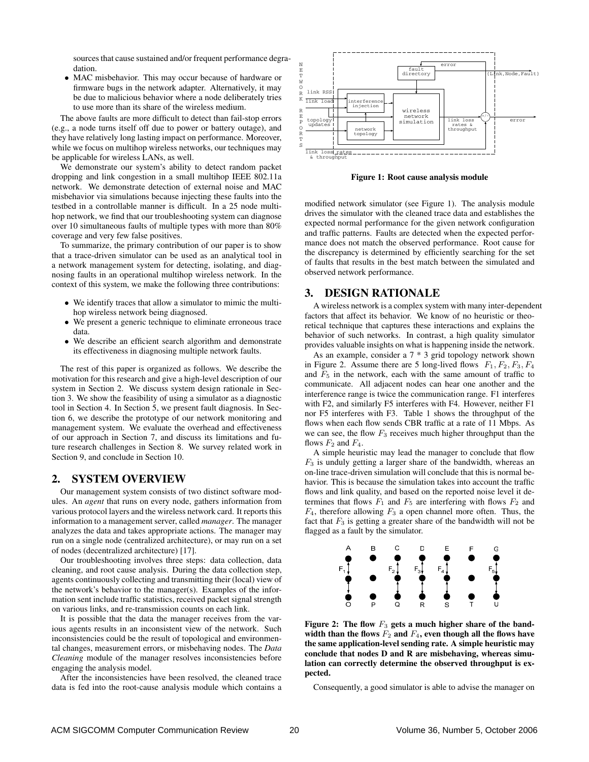sources that cause sustained and/or frequent performance degradation.

• MAC misbehavior. This may occur because of hardware or firmware bugs in the network adapter. Alternatively, it may be due to malicious behavior where a node deliberately tries to use more than its share of the wireless medium.

The above faults are more difficult to detect than fail-stop errors (e.g., a node turns itself off due to power or battery outage), and they have relatively long lasting impact on performance. Moreover, while we focus on multihop wireless networks, our techniques may be applicable for wireless LANs, as well.

We demonstrate our system's ability to detect random packet dropping and link congestion in a small multihop IEEE 802.11a network. We demonstrate detection of external noise and MAC misbehavior via simulations because injecting these faults into the testbed in a controllable manner is difficult. In a 25 node multihop network, we find that our troubleshooting system can diagnose over 10 simultaneous faults of multiple types with more than 80% coverage and very few false positives.

To summarize, the primary contribution of our paper is to show that a trace-driven simulator can be used as an analytical tool in a network management system for detecting, isolating, and diagnosing faults in an operational multihop wireless network. In the context of this system, we make the following three contributions:

- We identify traces that allow a simulator to mimic the multihop wireless network being diagnosed.
- We present a generic technique to eliminate erroneous trace data.
- We describe an efficient search algorithm and demonstrate its effectiveness in diagnosing multiple network faults.

The rest of this paper is organized as follows. We describe the motivation for this research and give a high-level description of our system in Section 2. We discuss system design rationale in Section 3. We show the feasibility of using a simulator as a diagnostic tool in Section 4. In Section 5, we present fault diagnosis. In Section 6, we describe the prototype of our network monitoring and management system. We evaluate the overhead and effectiveness of our approach in Section 7, and discuss its limitations and future research challenges in Section 8. We survey related work in Section 9, and conclude in Section 10.

#### **2. SYSTEM OVERVIEW**

Our management system consists of two distinct software modules. An *agent* that runs on every node, gathers information from various protocol layers and the wireless network card. It reports this information to a management server, called *manager*. The manager analyzes the data and takes appropriate actions. The manager may run on a single node (centralized architecture), or may run on a set of nodes (decentralized architecture) [17].

Our troubleshooting involves three steps: data collection, data cleaning, and root cause analysis. During the data collection step, agents continuously collecting and transmitting their (local) view of the network's behavior to the manager(s). Examples of the information sent include traffic statistics, received packet signal strength on various links, and re-transmission counts on each link.

It is possible that the data the manager receives from the various agents results in an inconsistent view of the network. Such inconsistencies could be the result of topological and environmental changes, measurement errors, or misbehaving nodes. The *Data Cleaning* module of the manager resolves inconsistencies before engaging the analysis model.

After the inconsistencies have been resolved, the cleaned trace data is fed into the root-cause analysis module which contains a



**Figure 1: Root cause analysis module**

modified network simulator (see Figure 1). The analysis module drives the simulator with the cleaned trace data and establishes the expected normal performance for the given network configuration and traffic patterns. Faults are detected when the expected performance does not match the observed performance. Root cause for the discrepancy is determined by efficiently searching for the set of faults that results in the best match between the simulated and observed network performance.

#### **3. DESIGN RATIONALE**

A wireless network is a complex system with many inter-dependent factors that affect its behavior. We know of no heuristic or theoretical technique that captures these interactions and explains the behavior of such networks. In contrast, a high quality simulator provides valuable insights on what is happening inside the network.

As an example, consider a 7 \* 3 grid topology network shown in Figure 2. Assume there are 5 long-lived flows  $F_1, F_2, F_3, F_4$ and  $F<sub>5</sub>$  in the network, each with the same amount of traffic to communicate. All adjacent nodes can hear one another and the interference range is twice the communication range. F1 interferes with F2, and similarly F5 interferes with F4. However, neither F1 nor F5 interferes with F3. Table 1 shows the throughput of the flows when each flow sends CBR traffic at a rate of 11 Mbps. As we can see, the flow  $F_3$  receives much higher throughput than the flows  $F_2$  and  $F_4$ .

A simple heuristic may lead the manager to conclude that flow  $F_3$  is unduly getting a larger share of the bandwidth, whereas an on-line trace-driven simulation will conclude that this is normal behavior. This is because the simulation takes into account the traffic flows and link quality, and based on the reported noise level it determines that flows  $F_1$  and  $F_5$  are interfering with flows  $F_2$  and  $F_4$ , therefore allowing  $F_3$  a open channel more often. Thus, the fact that  $F_3$  is getting a greater share of the bandwidth will not be flagged as a fault by the simulator.



Figure 2: The flow  $F_3$  gets a much higher share of the bandwidth than the flows  $F_2$  and  $F_4$ , even though all the flows have **the same application-level sending rate. A simple heuristic may conclude that nodes D and R are misbehaving, whereas simulation can correctly determine the observed throughput is expected.**

Consequently, a good simulator is able to advise the manager on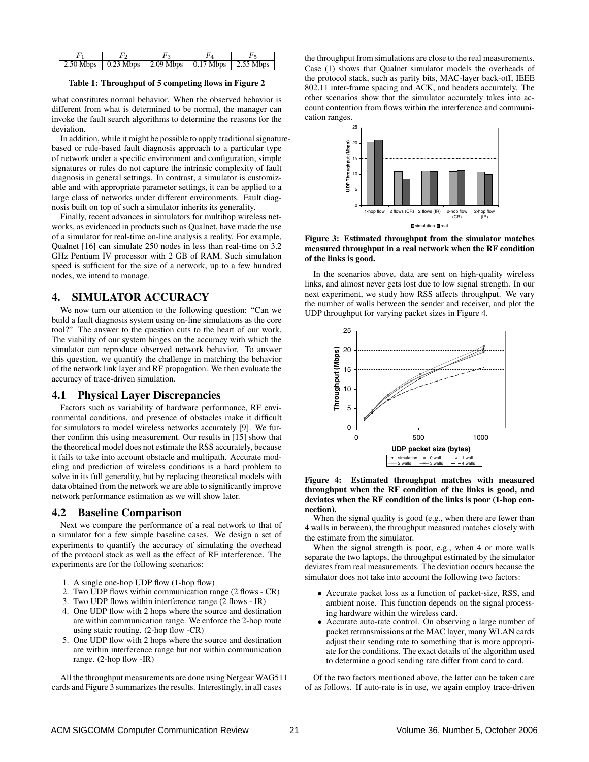| 2.50 Mbps   0.23 Mbps   2.09 Mbps   0.17 Mbps   2.55 Mbps |  |  |  |
|-----------------------------------------------------------|--|--|--|

**Table 1: Throughput of 5 competing flows in Figure 2**

what constitutes normal behavior. When the observed behavior is different from what is determined to be normal, the manager can invoke the fault search algorithms to determine the reasons for the deviation.

In addition, while it might be possible to apply traditional signaturebased or rule-based fault diagnosis approach to a particular type of network under a specific environment and configuration, simple signatures or rules do not capture the intrinsic complexity of fault diagnosis in general settings. In contrast, a simulator is customizable and with appropriate parameter settings, it can be applied to a large class of networks under different environments. Fault diagnosis built on top of such a simulator inherits its generality.

Finally, recent advances in simulators for multihop wireless networks, as evidenced in products such as Qualnet, have made the use of a simulator for real-time on-line analysis a reality. For example, Qualnet [16] can simulate 250 nodes in less than real-time on 3.2 GHz Pentium IV processor with 2 GB of RAM. Such simulation speed is sufficient for the size of a network, up to a few hundred nodes, we intend to manage.

# **4. SIMULATOR ACCURACY**

We now turn our attention to the following question: "Can we build a fault diagnosis system using on-line simulations as the core tool?" The answer to the question cuts to the heart of our work. The viability of our system hinges on the accuracy with which the simulator can reproduce observed network behavior. To answer this question, we quantify the challenge in matching the behavior of the network link layer and RF propagation. We then evaluate the accuracy of trace-driven simulation.

#### **4.1 Physical Layer Discrepancies**

Factors such as variability of hardware performance, RF environmental conditions, and presence of obstacles make it difficult for simulators to model wireless networks accurately [9]. We further confirm this using measurement. Our results in [15] show that the theoretical model does not estimate the RSS accurately, because it fails to take into account obstacle and multipath. Accurate modeling and prediction of wireless conditions is a hard problem to solve in its full generality, but by replacing theoretical models with data obtained from the network we are able to significantly improve network performance estimation as we will show later.

#### **4.2 Baseline Comparison**

Next we compare the performance of a real network to that of a simulator for a few simple baseline cases. We design a set of experiments to quantify the accuracy of simulating the overhead of the protocol stack as well as the effect of RF interference. The experiments are for the following scenarios:

- 1. A single one-hop UDP flow (1-hop flow)
- 2. Two UDP flows within communication range (2 flows CR)
- 3. Two UDP flows within interference range (2 flows IR)
- 4. One UDP flow with 2 hops where the source and destination are within communication range. We enforce the 2-hop route using static routing. (2-hop flow -CR)
- 5. One UDP flow with 2 hops where the source and destination are within interference range but not within communication range. (2-hop flow -IR)

All the throughput measurements are done using Netgear WAG511 cards and Figure 3 summarizes the results. Interestingly, in all cases

the throughput from simulations are close to the real measurements. Case (1) shows that Qualnet simulator models the overheads of the protocol stack, such as parity bits, MAC-layer back-off, IEEE 802.11 inter-frame spacing and ACK, and headers accurately. The other scenarios show that the simulator accurately takes into account contention from flows within the interference and communication ranges.



**Figure 3: Estimated throughput from the simulator matches measured throughput in a real network when the RF condition of the links is good.**

In the scenarios above, data are sent on high-quality wireless links, and almost never gets lost due to low signal strength. In our next experiment, we study how RSS affects throughput. We vary the number of walls between the sender and receiver, and plot the UDP throughput for varying packet sizes in Figure 4.





When the signal quality is good (e.g., when there are fewer than 4 walls in between), the throughput measured matches closely with the estimate from the simulator.

When the signal strength is poor, e.g., when 4 or more walls separate the two laptops, the throughput estimated by the simulator deviates from real measurements. The deviation occurs because the simulator does not take into account the following two factors:

- Accurate packet loss as a function of packet-size, RSS, and ambient noise. This function depends on the signal processing hardware within the wireless card.
- Accurate auto-rate control. On observing a large number of packet retransmissions at the MAC layer, many WLAN cards adjust their sending rate to something that is more appropriate for the conditions. The exact details of the algorithm used to determine a good sending rate differ from card to card.

Of the two factors mentioned above, the latter can be taken care of as follows. If auto-rate is in use, we again employ trace-driven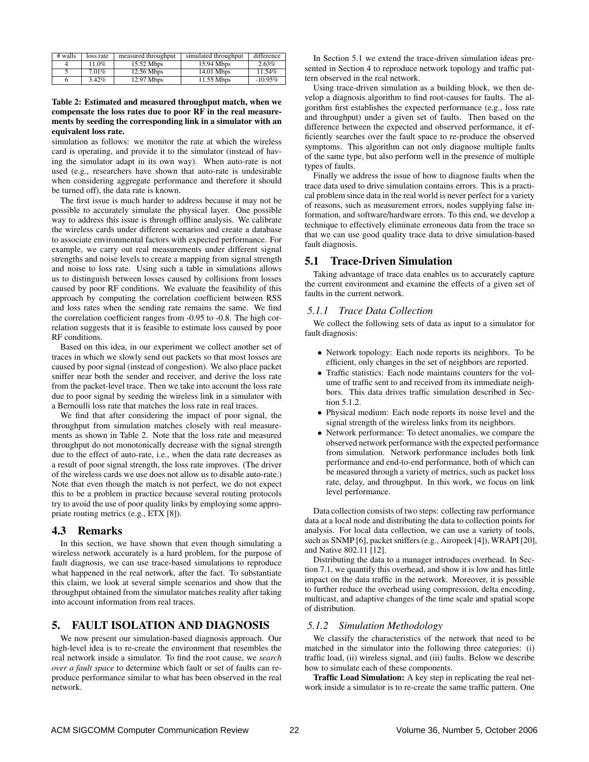| # walls | loss rate | measured throughput | simulated throughput | difference |
|---------|-----------|---------------------|----------------------|------------|
|         | 11.0%     | 15.52 Mbps          | 15.94 Mbps           | 2.63%      |
|         | $7.01\%$  | 12.56 Mbps          | $14.01$ Mbps         | 11.54%     |
|         | $3.42\%$  | $12.97$ Mbps        | 11.55 Mbps           | $-10.95\%$ |

#### **Table 2: Estimated and measured throughput match, when we compensate the loss rates due to poor RF in the real measurements by seeding the corresponding link in a simulator with an equivalent loss rate.**

simulation as follows: we monitor the rate at which the wireless card is operating, and provide it to the simulator (instead of having the simulator adapt in its own way). When auto-rate is not used (e.g., researchers have shown that auto-rate is undesirable when considering aggregate performance and therefore it should be turned off), the data rate is known.

The first issue is much harder to address because it may not be possible to accurately simulate the physical layer. One possible way to address this issue is through offline analysis. We calibrate the wireless cards under different scenarios and create a database to associate environmental factors with expected performance. For example, we carry out real measurements under different signal strengths and noise levels to create a mapping from signal strength and noise to loss rate. Using such a table in simulations allows us to distinguish between losses caused by collisions from losses caused by poor RF conditions. We evaluate the feasibility of this approach by computing the correlation coefficient between RSS and loss rates when the sending rate remains the same. We find the correlation coefficient ranges from -0.95 to -0.8. The high correlation suggests that it is feasible to estimate loss caused by poor RF conditions.

Based on this idea, in our experiment we collect another set of traces in which we slowly send out packets so that most losses are caused by poor signal (instead of congestion). We also place packet sniffer near both the sender and receiver, and derive the loss rate from the packet-level trace. Then we take into account the loss rate due to poor signal by seeding the wireless link in a simulator with a Bernoulli loss rate that matches the loss rate in real traces.

We find that after considering the impact of poor signal, the throughput from simulation matches closely with real measurements as shown in Table 2. Note that the loss rate and measured throughput do not monotonically decrease with the signal strength due to the effect of auto-rate, i.e., when the data rate decreases as a result of poor signal strength, the loss rate improves. (The driver of the wireless cards we use does not allow us to disable auto-rate.) Note that even though the match is not perfect, we do not expect this to be a problem in practice because several routing protocols try to avoid the use of poor quality links by employing some appropriate routing metrics (e.g., ETX [8]).

# **4.3 Remarks**

In this section, we have shown that even though simulating a wireless network accurately is a hard problem, for the purpose of fault diagnosis, we can use trace-based simulations to reproduce what happened in the real network, after the fact. To substantiate this claim, we look at several simple scenarios and show that the throughput obtained from the simulator matches reality after taking into account information from real traces.

# **5. FAULT ISOLATION AND DIAGNOSIS**

We now present our simulation-based diagnosis approach. Our high-level idea is to re-create the environment that resembles the real network inside a simulator. To find the root cause, we *search over a fault space* to determine which fault or set of faults can reproduce performance similar to what has been observed in the real network.

In Section 5.1 we extend the trace-driven simulation ideas presented in Section 4 to reproduce network topology and traffic pattern observed in the real network.

Using trace-driven simulation as a building block, we then develop a diagnosis algorithm to find root-causes for faults. The algorithm first establishes the expected performance (e.g., loss rate and throughput) under a given set of faults. Then based on the difference between the expected and observed performance, it efficiently searches over the fault space to re-produce the observed symptoms. This algorithm can not only diagnose multiple faults of the same type, but also perform well in the presence of multiple types of faults.

Finally we address the issue of how to diagnose faults when the trace data used to drive simulation contains errors. This is a practical problem since data in the real world is never perfect for a variety of reasons, such as measurement errors, nodes supplying false information, and software/hardware errors. To this end, we develop a technique to effectively eliminate erroneous data from the trace so that we can use good quality trace data to drive simulation-based fault diagnosis.

# **5.1 Trace-Driven Simulation**

Taking advantage of trace data enables us to accurately capture the current environment and examine the effects of a given set of faults in the current network.

# *5.1.1 Trace Data Collection*

We collect the following sets of data as input to a simulator for fault diagnosis:

- Network topology: Each node reports its neighbors. To be efficient, only changes in the set of neighbors are reported.
- Traffic statistics: Each node maintains counters for the volume of traffic sent to and received from its immediate neighbors. This data drives traffic simulation described in Section 5.1.2.
- Physical medium: Each node reports its noise level and the signal strength of the wireless links from its neighbors.
- Network performance: To detect anomalies, we compare the observed network performance with the expected performance from simulation. Network performance includes both link performance and end-to-end performance, both of which can be measured through a variety of metrics, such as packet loss rate, delay, and throughput. In this work, we focus on link level performance.

Data collection consists of two steps: collecting raw performance data at a local node and distributing the data to collection points for analysis. For local data collection, we can use a variety of tools, such as SNMP [6], packet sniffers (e.g., Airopeek [4]), WRAPI [20], and Native 802.11 [12].

Distributing the data to a manager introduces overhead. In Section 7.1, we quantify this overhead, and show it is low and has little impact on the data traffic in the network. Moreover, it is possible to further reduce the overhead using compression, delta encoding, multicast, and adaptive changes of the time scale and spatial scope of distribution.

# *5.1.2 Simulation Methodology*

We classify the characteristics of the network that need to be matched in the simulator into the following three categories: (i) traffic load, (ii) wireless signal, and (iii) faults. Below we describe how to simulate each of these components.

**Traffic Load Simulation:** A key step in replicating the real network inside a simulator is to re-create the same traffic pattern. One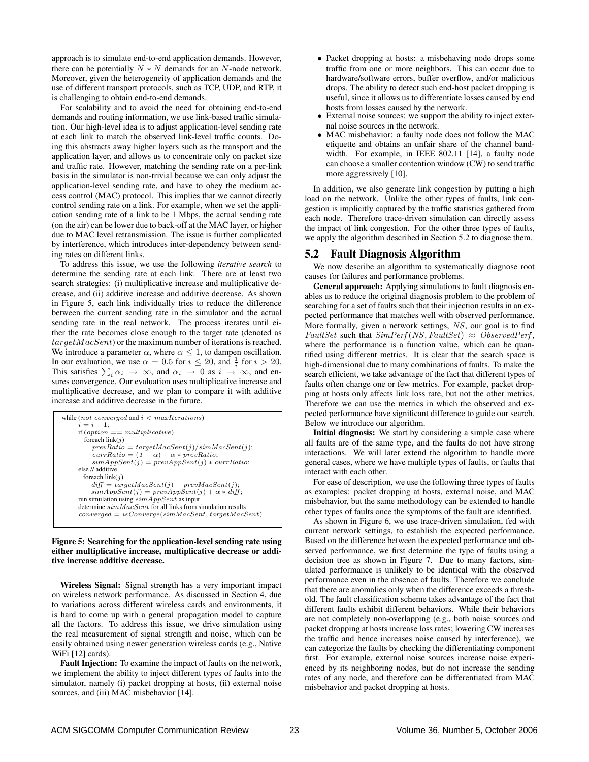approach is to simulate end-to-end application demands. However, there can be potentially  $N * N$  demands for an N-node network. Moreover, given the heterogeneity of application demands and the use of different transport protocols, such as TCP, UDP, and RTP, it is challenging to obtain end-to-end demands.

For scalability and to avoid the need for obtaining end-to-end demands and routing information, we use link-based traffic simulation. Our high-level idea is to adjust application-level sending rate at each link to match the observed link-level traffic counts. Doing this abstracts away higher layers such as the transport and the application layer, and allows us to concentrate only on packet size and traffic rate. However, matching the sending rate on a per-link basis in the simulator is non-trivial because we can only adjust the application-level sending rate, and have to obey the medium access control (MAC) protocol. This implies that we cannot directly control sending rate on a link. For example, when we set the application sending rate of a link to be 1 Mbps, the actual sending rate (on the air) can be lower due to back-off at the MAC layer, or higher due to MAC level retransmission. The issue is further complicated by interference, which introduces inter-dependency between sending rates on different links.

To address this issue, we use the following *iterative search* to determine the sending rate at each link. There are at least two search strategies: (i) multiplicative increase and multiplicative decrease, and (ii) additive increase and additive decrease. As shown in Figure 5, each link individually tries to reduce the difference between the current sending rate in the simulator and the actual sending rate in the real network. The process iterates until either the rate becomes close enough to the target rate (denoted as *targetMacSent*) or the maximum number of iterations is reached.<br>We introduce a parameter  $\alpha$ , where  $\alpha \leq 1$ , to dampen oscillation. We introduce a parameter  $\alpha$ , where  $\alpha \leq 1$ , to dampen oscillation.<br>In our evaluation, we use  $\alpha = 0.5$  for  $i \leq 20$ , and  $\frac{1}{2}$  for  $i > 20$ . In our evaluation, we use  $\alpha = 0.5$  for  $i \le 20$ , and  $\frac{1}{i}$  for  $i > 20$ .<br>This satisfies  $\sum \alpha_i \rightarrow \infty$  and  $\alpha_i \rightarrow 0$  as  $i \rightarrow \infty$  and en-This satisfies  $\sum_i \alpha_i \to \infty$ , and  $\alpha_i \to 0$  as  $i \to \infty$ , and en-<br>sures convergence. Our evaluation uses multiplicative increase and sures convergence. Our evaluation uses multiplicative increase and multiplicative decrease, and we plan to compare it with additive increase and additive decrease in the future.

while (not converged and  $i <$  maxIterations)  $i = i + 1$ :  $if (option == multiplicative)$ foreach  $link(i)$  $prevRatio = targetMacSent(j)/simMacSent(j);$  $currentatio = (1 - \alpha) + \alpha * prevRatio;$  $simAppSent(j) = prevAppSent(j) * currRatio;$ else // additive foreach  $link(j)$  $diff = targetMacSent(j) - prevMacSent(j);$  $simAppSent(j) = prevAppSent(j) + \alpha * diff;$ run simulation using simAppSent as input determine  $simMacSent$  for all links from simulation results  $converged = isConverge(simMacSent, targetMacSent)$ 

#### **Figure 5: Searching for the application-level sending rate using either multiplicative increase, multiplicative decrease or additive increase additive decrease.**

**Wireless Signal:** Signal strength has a very important impact on wireless network performance. As discussed in Section 4, due to variations across different wireless cards and environments, it is hard to come up with a general propagation model to capture all the factors. To address this issue, we drive simulation using the real measurement of signal strength and noise, which can be easily obtained using newer generation wireless cards (e.g., Native WiFi [12] cards).

**Fault Injection:** To examine the impact of faults on the network, we implement the ability to inject different types of faults into the simulator, namely (i) packet dropping at hosts, (ii) external noise sources, and (iii) MAC misbehavior [14].

- Packet dropping at hosts: a misbehaving node drops some traffic from one or more neighbors. This can occur due to hardware/software errors, buffer overflow, and/or malicious drops. The ability to detect such end-host packet dropping is useful, since it allows us to differentiate losses caused by end hosts from losses caused by the network.
- External noise sources: we support the ability to inject external noise sources in the network.
- MAC misbehavior: a faulty node does not follow the MAC etiquette and obtains an unfair share of the channel bandwidth. For example, in IEEE 802.11 [14], a faulty node can choose a smaller contention window (CW) to send traffic more aggressively [10].

In addition, we also generate link congestion by putting a high load on the network. Unlike the other types of faults, link congestion is implicitly captured by the traffic statistics gathered from each node. Therefore trace-driven simulation can directly assess the impact of link congestion. For the other three types of faults, we apply the algorithm described in Section 5.2 to diagnose them.

#### **5.2 Fault Diagnosis Algorithm**

We now describe an algorithm to systematically diagnose root causes for failures and performance problems.

**General approach:** Applying simulations to fault diagnosis enables us to reduce the original diagnosis problem to the problem of searching for a set of faults such that their injection results in an expected performance that matches well with observed performance. More formally, given a network settings, *NS*, our goal is to find *FaultSet* such that  $Simplerf(NS, FaultSet) \approx ObservedPerf$ , where the performance is a function value, which can be quantified using different metrics. It is clear that the search space is high-dimensional due to many combinations of faults. To make the search efficient, we take advantage of the fact that different types of faults often change one or few metrics. For example, packet dropping at hosts only affects link loss rate, but not the other metrics. Therefore we can use the metrics in which the observed and expected performance have significant difference to guide our search. Below we introduce our algorithm.

**Initial diagnosis:** We start by considering a simple case where all faults are of the same type, and the faults do not have strong interactions. We will later extend the algorithm to handle more general cases, where we have multiple types of faults, or faults that interact with each other.

For ease of description, we use the following three types of faults as examples: packet dropping at hosts, external noise, and MAC misbehavior, but the same methodology can be extended to handle other types of faults once the symptoms of the fault are identified.

As shown in Figure 6, we use trace-driven simulation, fed with current network settings, to establish the expected performance. Based on the difference between the expected performance and observed performance, we first determine the type of faults using a decision tree as shown in Figure 7. Due to many factors, simulated performance is unlikely to be identical with the observed performance even in the absence of faults. Therefore we conclude that there are anomalies only when the difference exceeds a threshold. The fault classification scheme takes advantage of the fact that different faults exhibit different behaviors. While their behaviors are not completely non-overlapping (e.g., both noise sources and packet dropping at hosts increase loss rates; lowering CW increases the traffic and hence increases noise caused by interference), we can categorize the faults by checking the differentiating component first. For example, external noise sources increase noise experienced by its neighboring nodes, but do not increase the sending rates of any node, and therefore can be differentiated from MAC misbehavior and packet dropping at hosts.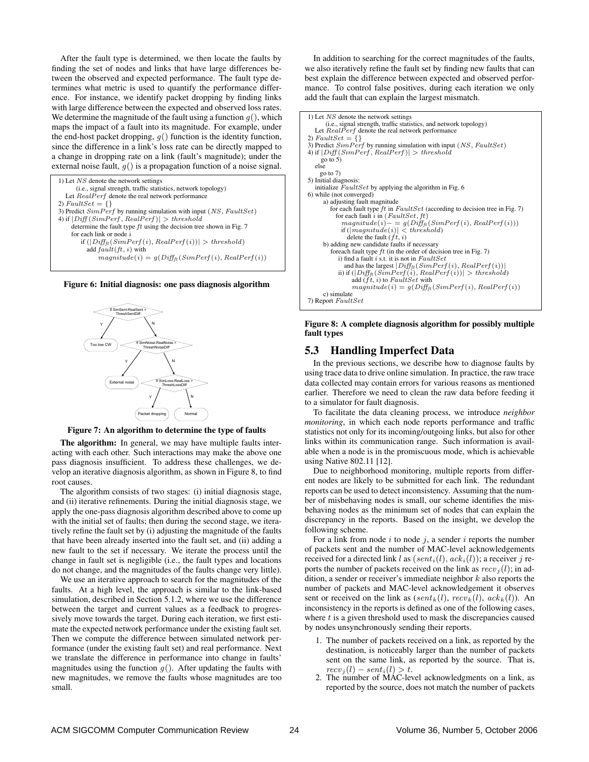After the fault type is determined, we then locate the faults by finding the set of nodes and links that have large differences between the observed and expected performance. The fault type determines what metric is used to quantify the performance difference. For instance, we identify packet dropping by finding links with large difference between the expected and observed loss rates. We determine the magnitude of the fault using a function  $g()$ , which maps the impact of a fault into its magnitude. For example, under the end-host packet dropping, *g*() function is the identity function, since the difference in a link's loss rate can be directly mapped to a change in dropping rate on a link (fault's magnitude); under the external noise fault,  $g()$  is a propagation function of a noise signal.

```
1) Let NS denote the network settings
       (i.e., signal strength, traffic statistics, network topology)
   Let RealPerf denote the real network performance
2) FaultSet = \{\}3) Predict SimPerf by running simulation with input (NS, FaultSet)
4) if |Diff(SimPerf, RealPerf)| > thresholddetermine the fault type ft using the decision tree shown in Fig. 7
     for each link or node i
        \textit{if }(|\textit{Diff}_{\textit{ft}}(\textit{SimPerf}(i), \textit{RealPerf}(i))| > \textit{threshold})\\add fault(ft, i) with
               magnitude(i) = g(Diff<sub>ft</sub>(SimPerf(i), RealPerf(i))
```




**Figure 7: An algorithm to determine the type of faults**

**The algorithm:** In general, we may have multiple faults interacting with each other. Such interactions may make the above one pass diagnosis insufficient. To address these challenges, we develop an iterative diagnosis algorithm, as shown in Figure 8, to find root causes.

The algorithm consists of two stages: (i) initial diagnosis stage, and (ii) iterative refinements. During the initial diagnosis stage, we apply the one-pass diagnosis algorithm described above to come up with the initial set of faults; then during the second stage, we iteratively refine the fault set by (i) adjusting the magnitude of the faults that have been already inserted into the fault set, and (ii) adding a new fault to the set if necessary. We iterate the process until the change in fault set is negligible (i.e., the fault types and locations do not change, and the magnitudes of the faults change very little).

We use an iterative approach to search for the magnitudes of the faults. At a high level, the approach is similar to the link-based simulation, described in Section 5.1.2, where we use the difference between the target and current values as a feedback to progressively move towards the target. During each iteration, we first estimate the expected network performance under the existing fault set. Then we compute the difference between simulated network performance (under the existing fault set) and real performance. Next we translate the difference in performance into change in faults' magnitudes using the function  $g()$ . After updating the faults with new magnitudes, we remove the faults whose magnitudes are too small.

In addition to searching for the correct magnitudes of the faults, we also iteratively refine the fault set by finding new faults that can best explain the difference between expected and observed performance. To control false positives, during each iteration we only add the fault that can explain the largest mismatch.

```
1) Let NS denote the network settings
   (i.e., signal strength, traffic statistics, and network topology)
Let RealPerf denote the real network performance
2) FaultSet = \{ \}3) Predict Simplerf by running simulation with input (NS, FaultSet)
4) if |Diff(SimPerf, RealPerf)| > thresholdgo to 5)
   else
     \frac{1}{20} to 7)
5) Initial diagnosis:
   initialize FaultSet by applying the algorithm in Fig. 6
6) while (not converged)
       (a) adjusting fault magnitude<br>for each fault type ft in FaultSet (according to decision tree in Fig. 7)
            for each fault i in (FaultSet, ft)magnitude(i) - = g(Diff_{ft}(SimPerf(i), RealPerf(i)))if (|magnitude(i)| < threshold)delete the fault (f\hat{t}, i)b) adding new candidate faults if necessary
          foreach fault type ft (in the order of decision tree in Fig. 7)
             i) find a fault i s.t. it is not in FaultSetand has the largest |Diff_{ft}(SimPerf(i), RealPerf(i))|<br>ii) if (|Diff_{ft}(SimPerf(i), RealPerf(i))| > threshold)add (f t, i) to FaultSet with
                   \label{eq:optimal} magnitude(i) = g(\textit{Diff}_{\textit{ft}}(\textit{SimPerf}(i), \textit{RealPerf}(i))c) simulate
7) Report FaultSet
```
**Figure 8: A complete diagnosis algorithm for possibly multiple fault types**

#### **5.3 Handling Imperfect Data**

In the previous sections, we describe how to diagnose faults by using trace data to drive online simulation. In practice, the raw trace data collected may contain errors for various reasons as mentioned earlier. Therefore we need to clean the raw data before feeding it to a simulator for fault diagnosis.

To facilitate the data cleaning process, we introduce *neighbor monitoring*, in which each node reports performance and traffic statistics not only for its incoming/outgoing links, but also for other links within its communication range. Such information is available when a node is in the promiscuous mode, which is achievable using Native 802.11 [12].

Due to neighborhood monitoring, multiple reports from different nodes are likely to be submitted for each link. The redundant reports can be used to detect inconsistency. Assuming that the number of misbehaving nodes is small, our scheme identifies the misbehaving nodes as the minimum set of nodes that can explain the discrepancy in the reports. Based on the insight, we develop the following scheme.

For a link from node  $i$  to node  $j$ , a sender  $i$  reports the number of packets sent and the number of MAC-level acknowledgements received for a directed link l as  $(sent<sub>i</sub>(l), ack<sub>i</sub>(l))$ ; a receiver j reports the number of packets received on the link as  $recv_i(l)$ ; in addition, a sender or receiver's immediate neighbor  $k$  also reports the number of packets and MAC-level acknowledgement it observes sent or received on the link as  $(sent_k(l), recv_k(l), ack_k(l))$ . An inconsistency in the reports is defined as one of the following cases, where  $t$  is a given threshold used to mask the discrepancies caused by nodes unsynchronously sending their reports.

- 1. The number of packets received on a link, as reported by the destination, is noticeably larger than the number of packets sent on the same link, as reported by the source. That is,  $recv_j(l) - sent_i(l) > t$ .<br>2. The number of MAC-level acknowledgments on a link, as
- reported by the source, does not match the number of packets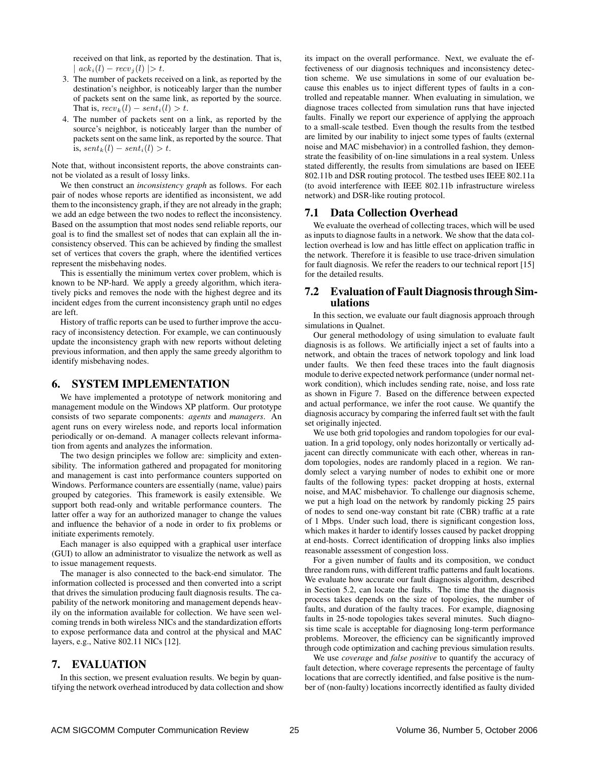received on that link, as reported by the destination. That is,  $|ack_i(l) - recv_j(l)| > t.$ 

- 3. The number of packets received on a link, as reported by the destination's neighbor, is noticeably larger than the number of packets sent on the same link, as reported by the source. That is,  $recv_k(l) - sent_i(l) > t$ .
- 4. The number of packets sent on a link, as reported by the source's neighbor, is noticeably larger than the number of packets sent on the same link, as reported by the source. That is,  $sent_k(l) - sent_i(l) > t$ .

Note that, without inconsistent reports, the above constraints cannot be violated as a result of lossy links.

We then construct an *inconsistency graph* as follows. For each pair of nodes whose reports are identified as inconsistent, we add them to the inconsistency graph, if they are not already in the graph; we add an edge between the two nodes to reflect the inconsistency. Based on the assumption that most nodes send reliable reports, our goal is to find the smallest set of nodes that can explain all the inconsistency observed. This can be achieved by finding the smallest set of vertices that covers the graph, where the identified vertices represent the misbehaving nodes.

This is essentially the minimum vertex cover problem, which is known to be NP-hard. We apply a greedy algorithm, which iteratively picks and removes the node with the highest degree and its incident edges from the current inconsistency graph until no edges are left.

History of traffic reports can be used to further improve the accuracy of inconsistency detection. For example, we can continuously update the inconsistency graph with new reports without deleting previous information, and then apply the same greedy algorithm to identify misbehaving nodes.

#### **6. SYSTEM IMPLEMENTATION**

We have implemented a prototype of network monitoring and management module on the Windows XP platform. Our prototype consists of two separate components: *agents* and *managers*. An agent runs on every wireless node, and reports local information periodically or on-demand. A manager collects relevant information from agents and analyzes the information.

The two design principles we follow are: simplicity and extensibility. The information gathered and propagated for monitoring and management is cast into performance counters supported on Windows. Performance counters are essentially (name, value) pairs grouped by categories. This framework is easily extensible. We support both read-only and writable performance counters. The latter offer a way for an authorized manager to change the values and influence the behavior of a node in order to fix problems or initiate experiments remotely.

Each manager is also equipped with a graphical user interface (GUI) to allow an administrator to visualize the network as well as to issue management requests.

The manager is also connected to the back-end simulator. The information collected is processed and then converted into a script that drives the simulation producing fault diagnosis results. The capability of the network monitoring and management depends heavily on the information available for collection. We have seen welcoming trends in both wireless NICs and the standardization efforts to expose performance data and control at the physical and MAC layers, e.g., Native 802.11 NICs [12].

# **7. EVALUATION**

In this section, we present evaluation results. We begin by quantifying the network overhead introduced by data collection and show its impact on the overall performance. Next, we evaluate the effectiveness of our diagnosis techniques and inconsistency detection scheme. We use simulations in some of our evaluation because this enables us to inject different types of faults in a controlled and repeatable manner. When evaluating in simulation, we diagnose traces collected from simulation runs that have injected faults. Finally we report our experience of applying the approach to a small-scale testbed. Even though the results from the testbed are limited by our inability to inject some types of faults (external noise and MAC misbehavior) in a controlled fashion, they demonstrate the feasibility of on-line simulations in a real system. Unless stated differently, the results from simulations are based on IEEE 802.11b and DSR routing protocol. The testbed uses IEEE 802.11a (to avoid interference with IEEE 802.11b infrastructure wireless network) and DSR-like routing protocol.

# **7.1 Data Collection Overhead**

We evaluate the overhead of collecting traces, which will be used as inputs to diagnose faults in a network. We show that the data collection overhead is low and has little effect on application traffic in the network. Therefore it is feasible to use trace-driven simulation for fault diagnosis. We refer the readers to our technical report [15] for the detailed results.

# **7.2 Evaluation of Fault Diagnosis through Simulations**

In this section, we evaluate our fault diagnosis approach through simulations in Qualnet.

Our general methodology of using simulation to evaluate fault diagnosis is as follows. We artificially inject a set of faults into a network, and obtain the traces of network topology and link load under faults. We then feed these traces into the fault diagnosis module to derive expected network performance (under normal network condition), which includes sending rate, noise, and loss rate as shown in Figure 7. Based on the difference between expected and actual performance, we infer the root cause. We quantify the diagnosis accuracy by comparing the inferred fault set with the fault set originally injected.

We use both grid topologies and random topologies for our evaluation. In a grid topology, only nodes horizontally or vertically adjacent can directly communicate with each other, whereas in random topologies, nodes are randomly placed in a region. We randomly select a varying number of nodes to exhibit one or more faults of the following types: packet dropping at hosts, external noise, and MAC misbehavior. To challenge our diagnosis scheme, we put a high load on the network by randomly picking 25 pairs of nodes to send one-way constant bit rate (CBR) traffic at a rate of 1 Mbps. Under such load, there is significant congestion loss, which makes it harder to identify losses caused by packet dropping at end-hosts. Correct identification of dropping links also implies reasonable assessment of congestion loss.

For a given number of faults and its composition, we conduct three random runs, with different traffic patterns and fault locations. We evaluate how accurate our fault diagnosis algorithm, described in Section 5.2, can locate the faults. The time that the diagnosis process takes depends on the size of topologies, the number of faults, and duration of the faulty traces. For example, diagnosing faults in 25-node topologies takes several minutes. Such diagnosis time scale is acceptable for diagnosing long-term performance problems. Moreover, the efficiency can be significantly improved through code optimization and caching previous simulation results.

We use *coverage* and *false positive* to quantify the accuracy of fault detection, where coverage represents the percentage of faulty locations that are correctly identified, and false positive is the number of (non-faulty) locations incorrectly identified as faulty divided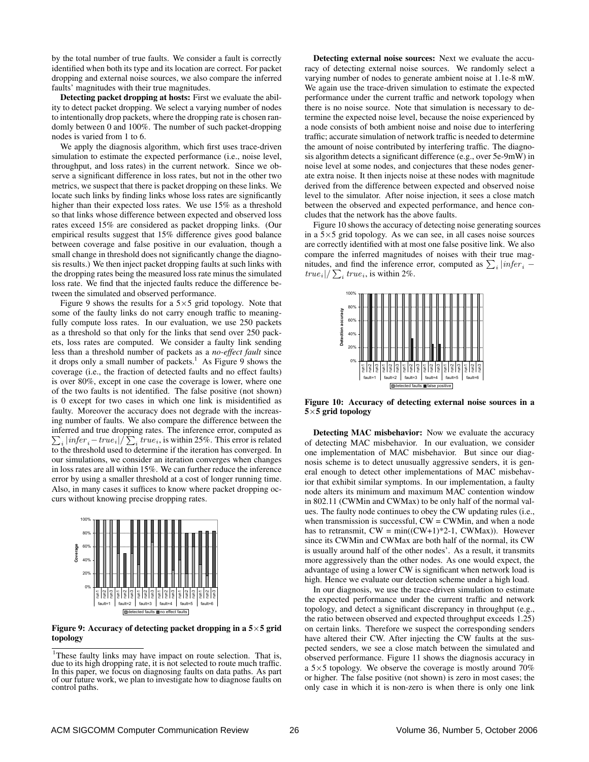by the total number of true faults. We consider a fault is correctly identified when both its type and its location are correct. For packet dropping and external noise sources, we also compare the inferred faults' magnitudes with their true magnitudes.

**Detecting packet dropping at hosts:** First we evaluate the ability to detect packet dropping. We select a varying number of nodes to intentionally drop packets, where the dropping rate is chosen randomly between 0 and 100%. The number of such packet-dropping nodes is varied from 1 to 6.

We apply the diagnosis algorithm, which first uses trace-driven simulation to estimate the expected performance (i.e., noise level, throughput, and loss rates) in the current network. Since we observe a significant difference in loss rates, but not in the other two metrics, we suspect that there is packet dropping on these links. We locate such links by finding links whose loss rates are significantly higher than their expected loss rates. We use 15% as a threshold so that links whose difference between expected and observed loss rates exceed 15% are considered as packet dropping links. (Our empirical results suggest that 15% difference gives good balance between coverage and false positive in our evaluation, though a small change in threshold does not significantly change the diagnosis results.) We then inject packet dropping faults at such links with the dropping rates being the measured loss rate minus the simulated loss rate. We find that the injected faults reduce the difference between the simulated and observed performance.

Figure 9 shows the results for a  $5\times 5$  grid topology. Note that some of the faulty links do not carry enough traffic to meaningfully compute loss rates. In our evaluation, we use 250 packets as a threshold so that only for the links that send over 250 packets, loss rates are computed. We consider a faulty link sending less than a threshold number of packets as a *no-effect fault* since it drops only a small number of packets.<sup>1</sup> As Figure 9 shows the coverage (i.e., the fraction of detected faults and no effect faults) is over 80%, except in one case the coverage is lower, where one of the two faults is not identified. The false positive (not shown) is 0 except for two cases in which one link is misidentified as faulty. Moreover the accuracy does not degrade with the increasing number of faults. We also compare the difference between the inferred and true dropping rates. The inference error, computed as  $\sum_i |infer_i - true_i| / \sum_i true_i$ , is within 25%. This error is related to the threshold used to determine if the iteration has converged. In to the threshold used to determine if the iteration has converged. In our simulations, we consider an iteration converges when changes in loss rates are all within 15%. We can further reduce the inference error by using a smaller threshold at a cost of longer running time. Also, in many cases it suffices to know where packet dropping occurs without knowing precise dropping rates.



**Figure 9: Accuracy of detecting packet dropping in a 5**×**5 grid topology**

**Detecting external noise sources:** Next we evaluate the accuracy of detecting external noise sources. We randomly select a varying number of nodes to generate ambient noise at 1.1e-8 mW. We again use the trace-driven simulation to estimate the expected performance under the current traffic and network topology when there is no noise source. Note that simulation is necessary to determine the expected noise level, because the noise experienced by a node consists of both ambient noise and noise due to interfering traffic; accurate simulation of network traffic is needed to determine the amount of noise contributed by interfering traffic. The diagnosis algorithm detects a significant difference (e.g., over 5e-9mW) in noise level at some nodes, and conjectures that these nodes generate extra noise. It then injects noise at these nodes with magnitude derived from the difference between expected and observed noise level to the simulator. After noise injection, it sees a close match between the observed and expected performance, and hence concludes that the network has the above faults.

Figure 10 shows the accuracy of detecting noise generating sources in a  $5\times 5$  grid topology. As we can see, in all cases noise sources are correctly identified with at most one false positive link. We also compare the inferred magnitudes of noises with their true magnitudes, and find the inference error, computed as  $\sum_i |infer_i$  $true_i | / \sum_i true_i$ , is within 2%.



**Figure 10: Accuracy of detecting external noise sources in a 5**×**5 grid topology**

**Detecting MAC misbehavior:** Now we evaluate the accuracy of detecting MAC misbehavior. In our evaluation, we consider one implementation of MAC misbehavior. But since our diagnosis scheme is to detect unusually aggressive senders, it is general enough to detect other implementations of MAC misbehavior that exhibit similar symptoms. In our implementation, a faulty node alters its minimum and maximum MAC contention window in 802.11 (CWMin and CWMax) to be only half of the normal values. The faulty node continues to obey the CW updating rules (i.e., when transmission is successful,  $CW = CWM$  and when a node has to retransmit,  $CW = min((CW+1)*2-1, CWMax)$ . However since its CWMin and CWMax are both half of the normal, its CW is usually around half of the other nodes'. As a result, it transmits more aggressively than the other nodes. As one would expect, the advantage of using a lower CW is significant when network load is high. Hence we evaluate our detection scheme under a high load.

In our diagnosis, we use the trace-driven simulation to estimate the expected performance under the current traffic and network topology, and detect a significant discrepancy in throughput (e.g., the ratio between observed and expected throughput exceeds 1.25) on certain links. Therefore we suspect the corresponding senders have altered their CW. After injecting the CW faults at the suspected senders, we see a close match between the simulated and observed performance. Figure 11 shows the diagnosis accuracy in a 5×5 topology. We observe the coverage is mostly around 70% or higher. The false positive (not shown) is zero in most cases; the only case in which it is non-zero is when there is only one link

<sup>&</sup>lt;sup>1</sup>These faulty links may have impact on route selection. That is, due to its high dropping rate, it is not selected to route much traffic. In this paper, we focus on diagnosing faults on data paths. As part of our future work, we plan to investigate how to diagnose faults on control paths.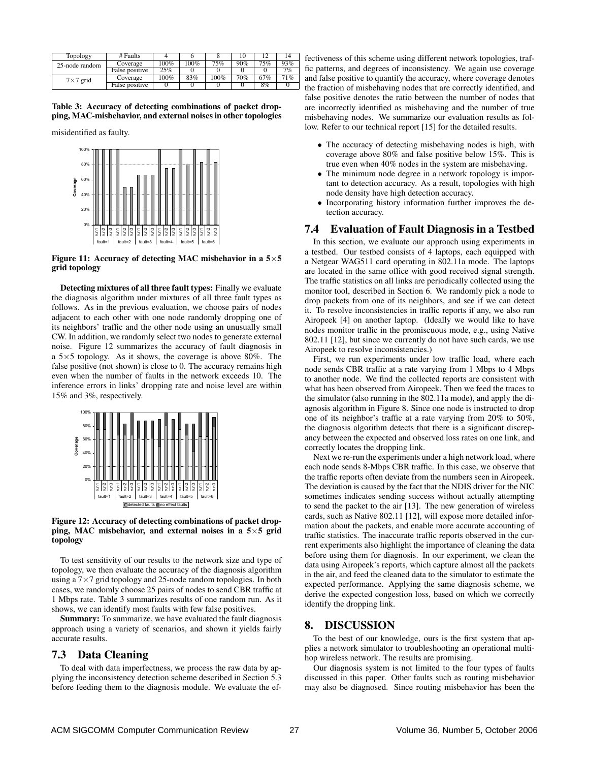| Topology        | # Faults       |         |         |        |     |       | 14  |
|-----------------|----------------|---------|---------|--------|-----|-------|-----|
| 25-node random  | Coverage       | $100\%$ | $100\%$ | 75%    | 90% | 75%   | 93% |
|                 | False positive | 25%     |         |        |     |       | 1%  |
| $7\times7$ grid | Coverage       | 100%    | 83%     | $00\%$ | 70% | 67%   | 71% |
|                 | False positive |         |         |        |     | $8\%$ |     |

**Table 3: Accuracy of detecting combinations of packet dropping, MAC-misbehavior, and external noises in other topologies**

misidentified as faulty.



**Figure 11: Accuracy of detecting MAC misbehavior in a 5**×**5 grid topology**

**Detecting mixtures of all three fault types:** Finally we evaluate the diagnosis algorithm under mixtures of all three fault types as follows. As in the previous evaluation, we choose pairs of nodes adjacent to each other with one node randomly dropping one of its neighbors' traffic and the other node using an unusually small CW. In addition, we randomly select two nodes to generate external noise. Figure 12 summarizes the accuracy of fault diagnosis in a  $5\times 5$  topology. As it shows, the coverage is above 80%. The false positive (not shown) is close to 0. The accuracy remains high even when the number of faults in the network exceeds 10. The inference errors in links' dropping rate and noise level are within 15% and 3%, respectively.



**Figure 12: Accuracy of detecting combinations of packet dropping, MAC misbehavior, and external noises in a 5**×**5 grid topology**

To test sensitivity of our results to the network size and type of topology, we then evaluate the accuracy of the diagnosis algorithm using a  $7\times7$  grid topology and 25-node random topologies. In both cases, we randomly choose 25 pairs of nodes to send CBR traffic at 1 Mbps rate. Table 3 summarizes results of one random run. As it shows, we can identify most faults with few false positives.

**Summary:** To summarize, we have evaluated the fault diagnosis approach using a variety of scenarios, and shown it yields fairly accurate results.

### **7.3 Data Cleaning**

To deal with data imperfectness, we process the raw data by applying the inconsistency detection scheme described in Section 5.3 before feeding them to the diagnosis module. We evaluate the effectiveness of this scheme using different network topologies, traffic patterns, and degrees of inconsistency. We again use coverage and false positive to quantify the accuracy, where coverage denotes the fraction of misbehaving nodes that are correctly identified, and false positive denotes the ratio between the number of nodes that are incorrectly identified as misbehaving and the number of true misbehaving nodes. We summarize our evaluation results as follow. Refer to our technical report [15] for the detailed results.

- The accuracy of detecting misbehaving nodes is high, with coverage above 80% and false positive below 15%. This is true even when 40% nodes in the system are misbehaving.
- The minimum node degree in a network topology is important to detection accuracy. As a result, topologies with high node density have high detection accuracy.
- Incorporating history information further improves the detection accuracy.

# **7.4 Evaluation of Fault Diagnosis in a Testbed**

In this section, we evaluate our approach using experiments in a testbed. Our testbed consists of 4 laptops, each equipped with a Netgear WAG511 card operating in 802.11a mode. The laptops are located in the same office with good received signal strength. The traffic statistics on all links are periodically collected using the monitor tool, described in Section 6. We randomly pick a node to drop packets from one of its neighbors, and see if we can detect it. To resolve inconsistencies in traffic reports if any, we also run Airopeek [4] on another laptop. (Ideally we would like to have nodes monitor traffic in the promiscuous mode, e.g., using Native 802.11 [12], but since we currently do not have such cards, we use Airopeek to resolve inconsistencies.)

First, we run experiments under low traffic load, where each node sends CBR traffic at a rate varying from 1 Mbps to 4 Mbps to another node. We find the collected reports are consistent with what has been observed from Airopeek. Then we feed the traces to the simulator (also running in the 802.11a mode), and apply the diagnosis algorithm in Figure 8. Since one node is instructed to drop one of its neighbor's traffic at a rate varying from 20% to 50%, the diagnosis algorithm detects that there is a significant discrepancy between the expected and observed loss rates on one link, and correctly locates the dropping link.

Next we re-run the experiments under a high network load, where each node sends 8-Mbps CBR traffic. In this case, we observe that the traffic reports often deviate from the numbers seen in Airopeek. The deviation is caused by the fact that the NDIS driver for the NIC sometimes indicates sending success without actually attempting to send the packet to the air [13]. The new generation of wireless cards, such as Native 802.11 [12], will expose more detailed information about the packets, and enable more accurate accounting of traffic statistics. The inaccurate traffic reports observed in the current experiments also highlight the importance of cleaning the data before using them for diagnosis. In our experiment, we clean the data using Airopeek's reports, which capture almost all the packets in the air, and feed the cleaned data to the simulator to estimate the expected performance. Applying the same diagnosis scheme, we derive the expected congestion loss, based on which we correctly identify the dropping link.

#### **8. DISCUSSION**

To the best of our knowledge, ours is the first system that applies a network simulator to troubleshooting an operational multihop wireless network. The results are promising.

Our diagnosis system is not limited to the four types of faults discussed in this paper. Other faults such as routing misbehavior may also be diagnosed. Since routing misbehavior has been the